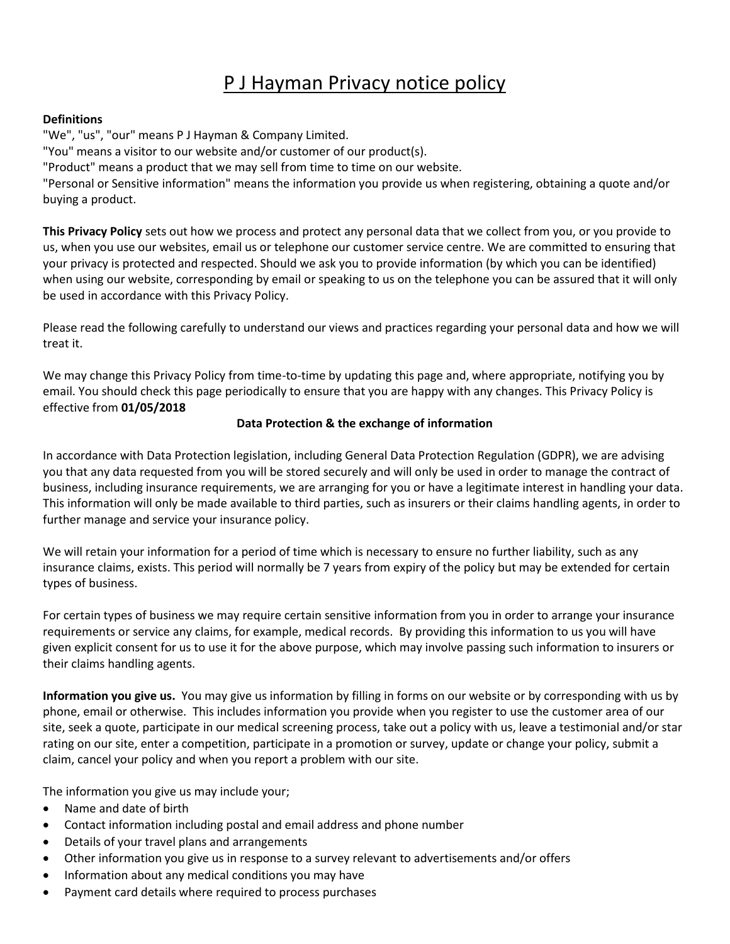# P J Hayman Privacy notice policy

#### **Definitions**

"We", "us", "our" means P J Hayman & Company Limited. "You" means a visitor to our website and/or customer of our product(s). "Product" means a product that we may sell from time to time on our website. "Personal or Sensitive information" means the information you provide us when registering, obtaining a quote and/or buying a product.

**This Privacy Policy** sets out how we process and protect any personal data that we collect from you, or you provide to us, when you use our websites, email us or telephone our customer service centre. We are committed to ensuring that your privacy is protected and respected. Should we ask you to provide information (by which you can be identified) when using our website, corresponding by email or speaking to us on the telephone you can be assured that it will only be used in accordance with this Privacy Policy.

Please read the following carefully to understand our views and practices regarding your personal data and how we will treat it.

We may change this Privacy Policy from time-to-time by updating this page and, where appropriate, notifying you by email. You should check this page periodically to ensure that you are happy with any changes. This Privacy Policy is effective from **01/05/2018**

#### **Data Protection & the exchange of information**

In accordance with Data Protection legislation, including General Data Protection Regulation (GDPR), we are advising you that any data requested from you will be stored securely and will only be used in order to manage the contract of business, including insurance requirements, we are arranging for you or have a legitimate interest in handling your data. This information will only be made available to third parties, such as insurers or their claims handling agents, in order to further manage and service your insurance policy.

We will retain your information for a period of time which is necessary to ensure no further liability, such as any insurance claims, exists. This period will normally be 7 years from expiry of the policy but may be extended for certain types of business.

For certain types of business we may require certain sensitive information from you in order to arrange your insurance requirements or service any claims, for example, medical records. By providing this information to us you will have given explicit consent for us to use it for the above purpose, which may involve passing such information to insurers or their claims handling agents.

**Information you give us.** You may give us information by filling in forms on our website or by corresponding with us by phone, email or otherwise. This includes information you provide when you register to use the customer area of our site, seek a quote, participate in our medical screening process, take out a policy with us, leave a testimonial and/or star rating on our site, enter a competition, participate in a promotion or survey, update or change your policy, submit a claim, cancel your policy and when you report a problem with our site.

The information you give us may include your;

- Name and date of birth
- Contact information including postal and email address and phone number
- Details of your travel plans and arrangements
- Other information you give us in response to a survey relevant to advertisements and/or offers
- Information about any medical conditions you may have
- Payment card details where required to process purchases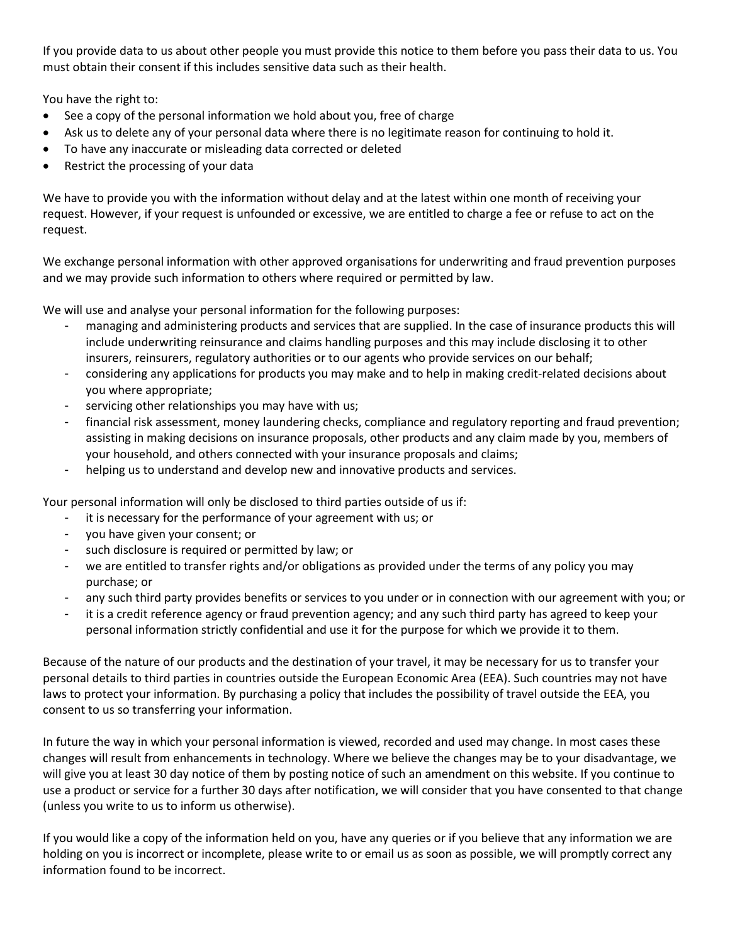If you provide data to us about other people you must provide this notice to them before you pass their data to us. You must obtain their consent if this includes sensitive data such as their health.

You have the right to:

- See a copy of the personal information we hold about you, free of charge
- Ask us to delete any of your personal data where there is no legitimate reason for continuing to hold it.
- To have any inaccurate or misleading data corrected or deleted
- Restrict the processing of your data

We have to provide you with the information without delay and at the latest within one month of receiving your request. However, if your request is unfounded or excessive, we are entitled to charge a fee or refuse to act on the request.

We exchange personal information with other approved organisations for underwriting and fraud prevention purposes and we may provide such information to others where required or permitted by law.

We will use and analyse your personal information for the following purposes:

- managing and administering products and services that are supplied. In the case of insurance products this will include underwriting reinsurance and claims handling purposes and this may include disclosing it to other insurers, reinsurers, regulatory authorities or to our agents who provide services on our behalf;
- considering any applications for products you may make and to help in making credit-related decisions about you where appropriate;
- servicing other relationships you may have with us;
- financial risk assessment, money laundering checks, compliance and regulatory reporting and fraud prevention; assisting in making decisions on insurance proposals, other products and any claim made by you, members of your household, and others connected with your insurance proposals and claims;
- helping us to understand and develop new and innovative products and services.

Your personal information will only be disclosed to third parties outside of us if:

- it is necessary for the performance of your agreement with us; or
- you have given your consent; or
- such disclosure is required or permitted by law; or
- we are entitled to transfer rights and/or obligations as provided under the terms of any policy you may purchase; or
- any such third party provides benefits or services to you under or in connection with our agreement with you; or
- it is a credit reference agency or fraud prevention agency; and any such third party has agreed to keep your personal information strictly confidential and use it for the purpose for which we provide it to them.

Because of the nature of our products and the destination of your travel, it may be necessary for us to transfer your personal details to third parties in countries outside the European Economic Area (EEA). Such countries may not have laws to protect your information. By purchasing a policy that includes the possibility of travel outside the EEA, you consent to us so transferring your information.

In future the way in which your personal information is viewed, recorded and used may change. In most cases these changes will result from enhancements in technology. Where we believe the changes may be to your disadvantage, we will give you at least 30 day notice of them by posting notice of such an amendment on this website. If you continue to use a product or service for a further 30 days after notification, we will consider that you have consented to that change (unless you write to us to inform us otherwise).

If you would like a copy of the information held on you, have any queries or if you believe that any information we are holding on you is incorrect or incomplete, please write to or email us as soon as possible, we will promptly correct any information found to be incorrect.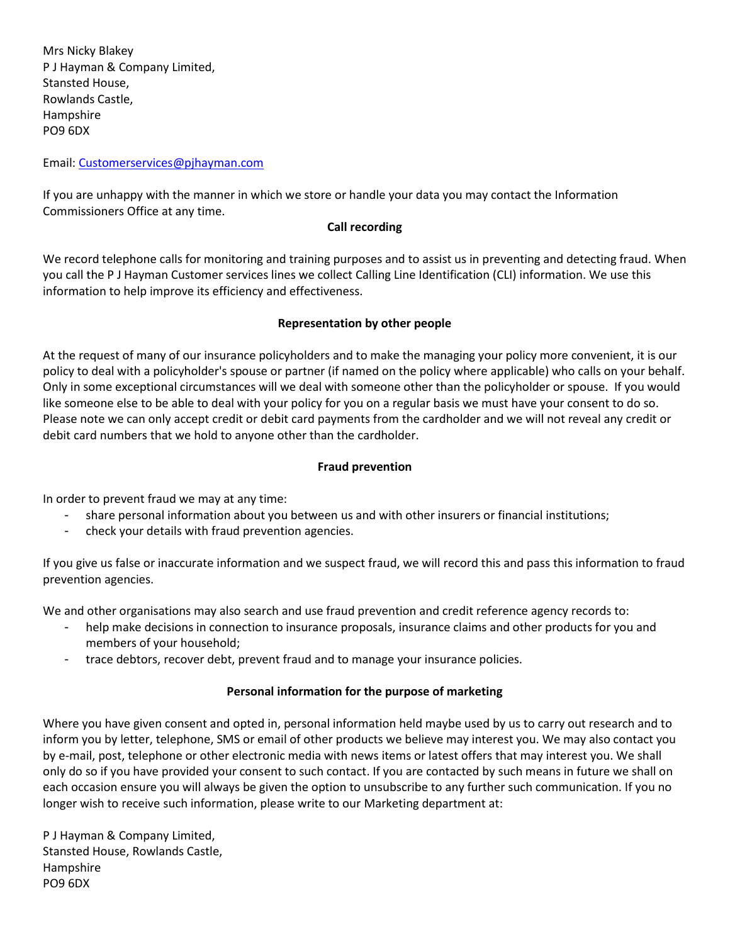Mrs Nicky Blakey P J Hayman & Company Limited, Stansted House, Rowlands Castle, Hampshire PO9 6DX

Email: [Customerservices@pjhayman.com](mailto:Customerservices@pjhayman.com)

If you are unhappy with the manner in which we store or handle your data you may contact the Information Commissioners Office at any time.

### **Call recording**

We record telephone calls for monitoring and training purposes and to assist us in preventing and detecting fraud. When you call the P J Hayman Customer services lines we collect Calling Line Identification (CLI) information. We use this information to help improve its efficiency and effectiveness.

# **Representation by other people**

At the request of many of our insurance policyholders and to make the managing your policy more convenient, it is our policy to deal with a policyholder's spouse or partner (if named on the policy where applicable) who calls on your behalf. Only in some exceptional circumstances will we deal with someone other than the policyholder or spouse. If you would like someone else to be able to deal with your policy for you on a regular basis we must have your consent to do so. Please note we can only accept credit or debit card payments from the cardholder and we will not reveal any credit or debit card numbers that we hold to anyone other than the cardholder.

# **Fraud prevention**

In order to prevent fraud we may at any time:

- share personal information about you between us and with other insurers or financial institutions;
- check your details with fraud prevention agencies.

If you give us false or inaccurate information and we suspect fraud, we will record this and pass this information to fraud prevention agencies.

We and other organisations may also search and use fraud prevention and credit reference agency records to:

- help make decisions in connection to insurance proposals, insurance claims and other products for you and members of your household;
- trace debtors, recover debt, prevent fraud and to manage your insurance policies.

# **Personal information for the purpose of marketing**

Where you have given consent and opted in, personal information held maybe used by us to carry out research and to inform you by letter, telephone, SMS or email of other products we believe may interest you. We may also contact you by e-mail, post, telephone or other electronic media with news items or latest offers that may interest you. We shall only do so if you have provided your consent to such contact. If you are contacted by such means in future we shall on each occasion ensure you will always be given the option to unsubscribe to any further such communication. If you no longer wish to receive such information, please write to our Marketing department at:

P J Hayman & Company Limited, Stansted House, Rowlands Castle, Hampshire PO9 6DX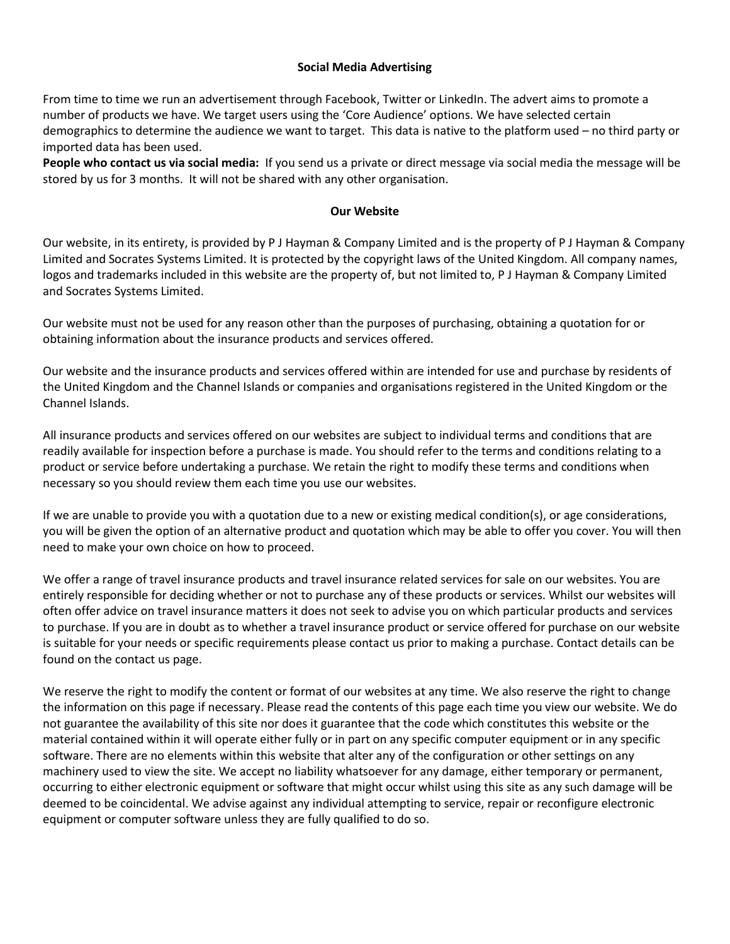#### **Social Media Advertising**

From time to time we run an advertisement through Facebook, Twitter or LinkedIn. The advert aims to promote a number of products we have. We target users using the 'Core Audience' options. We have selected certain demographics to determine the audience we want to target. This data is native to the platform used – no third party or imported data has been used.

**People who contact us via social media:** If you send us a private or direct message via social media the message will be stored by us for 3 months. It will not be shared with any other organisation.

#### **Our Website**

Our website, in its entirety, is provided by P J Hayman & Company Limited and is the property of P J Hayman & Company Limited and Socrates Systems Limited. It is protected by the copyright laws of the United Kingdom. All company names, logos and trademarks included in this website are the property of, but not limited to, P J Hayman & Company Limited and Socrates Systems Limited.

Our website must not be used for any reason other than the purposes of purchasing, obtaining a quotation for or obtaining information about the insurance products and services offered.

Our website and the insurance products and services offered within are intended for use and purchase by residents of the United Kingdom and the Channel Islands or companies and organisations registered in the United Kingdom or the Channel Islands.

All insurance products and services offered on our websites are subject to individual terms and conditions that are readily available for inspection before a purchase is made. You should refer to the terms and conditions relating to a product or service before undertaking a purchase. We retain the right to modify these terms and conditions when necessary so you should review them each time you use our websites.

If we are unable to provide you with a quotation due to a new or existing medical condition(s), or age considerations, you will be given the option of an alternative product and quotation which may be able to offer you cover. You will then need to make your own choice on how to proceed.

We offer a range of travel insurance products and travel insurance related services for sale on our websites. You are entirely responsible for deciding whether or not to purchase any of these products or services. Whilst our websites will often offer advice on travel insurance matters it does not seek to advise you on which particular products and services to purchase. If you are in doubt as to whether a travel insurance product or service offered for purchase on our website is suitable for your needs or specific requirements please contact us prior to making a purchase. Contact details can be found on the contact us page.

We reserve the right to modify the content or format of our websites at any time. We also reserve the right to change the information on this page if necessary. Please read the contents of this page each time you view our website. We do not guarantee the availability of this site nor does it guarantee that the code which constitutes this website or the material contained within it will operate either fully or in part on any specific computer equipment or in any specific software. There are no elements within this website that alter any of the configuration or other settings on any machinery used to view the site. We accept no liability whatsoever for any damage, either temporary or permanent, occurring to either electronic equipment or software that might occur whilst using this site as any such damage will be deemed to be coincidental. We advise against any individual attempting to service, repair or reconfigure electronic equipment or computer software unless they are fully qualified to do so.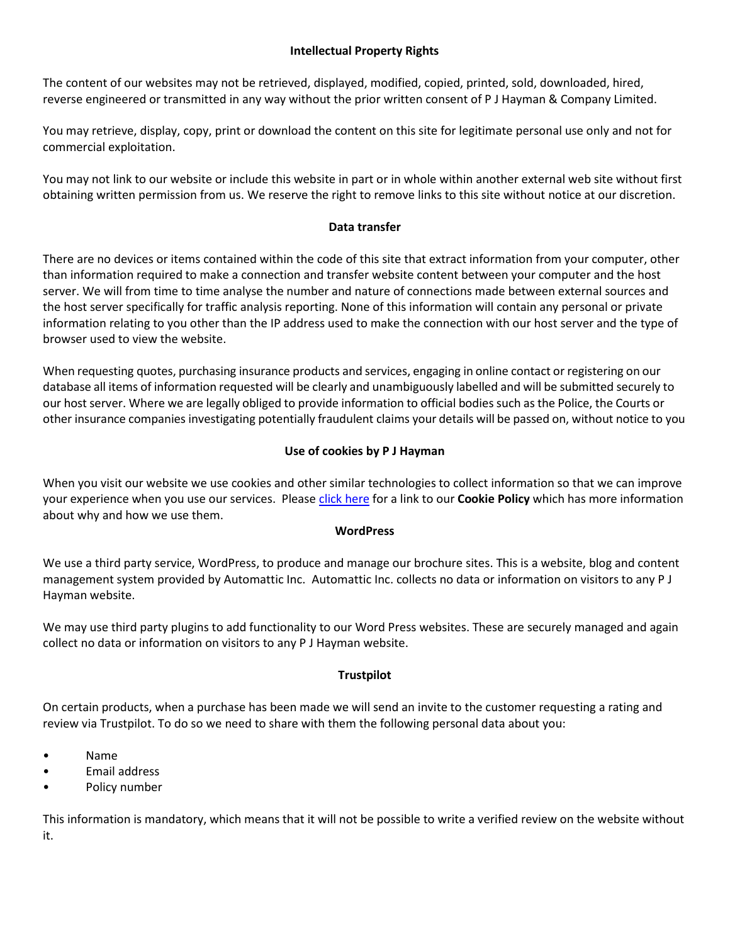# **Intellectual Property Rights**

The content of our websites may not be retrieved, displayed, modified, copied, printed, sold, downloaded, hired, reverse engineered or transmitted in any way without the prior written consent of P J Hayman & Company Limited.

You may retrieve, display, copy, print or download the content on this site for legitimate personal use only and not for commercial exploitation.

You may not link to our website or include this website in part or in whole within another external web site without first obtaining written permission from us. We reserve the right to remove links to this site without notice at our discretion.

# **Data transfer**

There are no devices or items contained within the code of this site that extract information from your computer, other than information required to make a connection and transfer website content between your computer and the host server. We will from time to time analyse the number and nature of connections made between external sources and the host server specifically for traffic analysis reporting. None of this information will contain any personal or private information relating to you other than the IP address used to make the connection with our host server and the type of browser used to view the website.

When requesting quotes, purchasing insurance products and services, engaging in online contact or registering on our database all items of information requested will be clearly and unambiguously labelled and will be submitted securely to our host server. Where we are legally obliged to provide information to official bodies such as the Police, the Courts or other insurance companies investigating potentially fraudulent claims your details will be passed on, without notice to you

# **Use of cookies by P J Hayman**

When you visit our website we use cookies and other similar technologies to collect information so that we can improve your experience when you use our services. Pleas[e click here](http://www.pjhayman.com/documents/Cookiepolicy.pdf) for a link to our **Cookie Policy** which has more information about why and how we use them.

#### **WordPress**

We use a third party service, WordPress, to produce and manage our brochure sites. This is a website, blog and content management system provided by Automattic Inc. Automattic Inc. collects no data or information on visitors to any P J Hayman website.

We may use third party plugins to add functionality to our Word Press websites. These are securely managed and again collect no data or information on visitors to any P J Hayman website.

#### **Trustpilot**

On certain products, when a purchase has been made we will send an invite to the customer requesting a rating and review via Trustpilot. To do so we need to share with them the following personal data about you:

- Name
- Email address
- Policy number

This information is mandatory, which means that it will not be possible to write a verified review on the website without it.